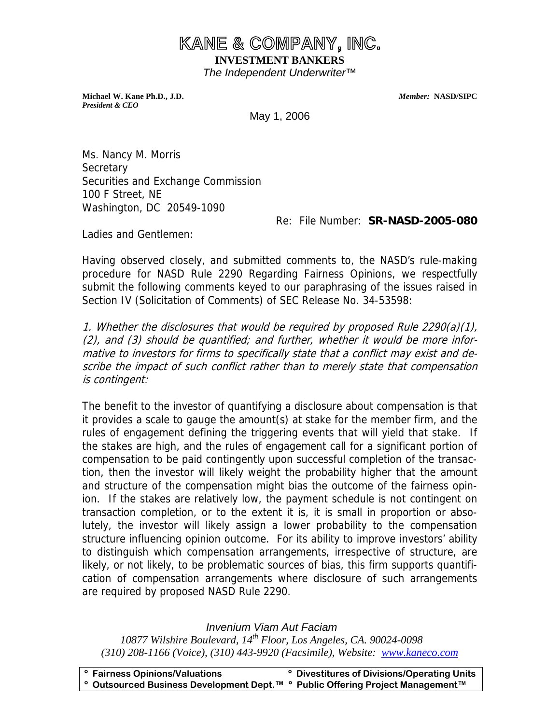## **KANE & COMPANY, INC. INVESTMENT BANKERS**  *The Independent Underwriter™*

**Michael W. Kane Ph.D., J.D.** *Member:* **NASD/SIPC**  *President & CEO* 

May 1, 2006

Ms. Nancy M. Morris **Secretary** Securities and Exchange Commission 100 F Street, NE Washington, DC 20549-1090

Re: File Number: **SR-NASD-2005-080** 

Ladies and Gentlemen:

Having observed closely, and submitted comments to, the NASD's rule-making procedure for NASD Rule 2290 Regarding Fairness Opinions, we respectfully submit the following comments keyed to our paraphrasing of the issues raised in Section IV (Solicitation of Comments) of SEC Release No. 34-53598:

1. Whether the disclosures that would be required by proposed Rule 2290(a)(1), (2), and (3) should be quantified; and further, whether it would be more informative to investors for firms to specifically state that a conflict may exist and describe the impact of such conflict rather than to merely state that compensation is contingent:

The benefit to the investor of quantifying a disclosure about compensation is that it provides a scale to gauge the amount(s) at stake for the member firm, and the rules of engagement defining the triggering events that will yield that stake. If the stakes are high, and the rules of engagement call for a significant portion of compensation to be paid contingently upon successful completion of the transaction, then the investor will likely weight the probability higher that the amount and structure of the compensation might bias the outcome of the fairness opinion. If the stakes are relatively low, the payment schedule is not contingent on transaction completion, or to the extent it is, it is small in proportion or absolutely, the investor will likely assign a lower probability to the compensation structure influencing opinion outcome. For its ability to improve investors' ability to distinguish which compensation arrangements, irrespective of structure, are likely, or not likely, to be problematic sources of bias, this firm supports quantification of compensation arrangements where disclosure of such arrangements are required by proposed NASD Rule 2290.

*Invenium Viam Aut Faciam*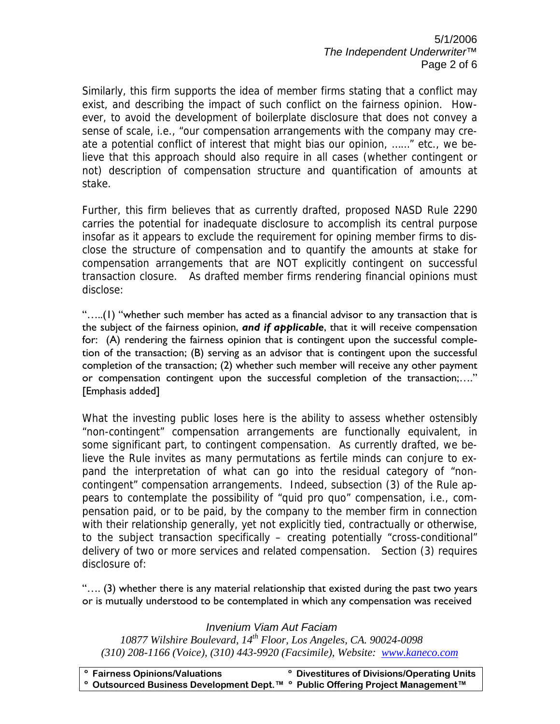5/1/2006 *The Independent Underwriter™*  Page 2 of 6

Similarly, this firm supports the idea of member firms stating that a conflict may exist, and describing the impact of such conflict on the fairness opinion. However, to avoid the development of boilerplate disclosure that does not convey a sense of scale, i.e., "our compensation arrangements with the company may create a potential conflict of interest that might bias our opinion, ……" etc., we believe that this approach should also require in all cases (whether contingent or not) description of compensation structure and quantification of amounts at stake.

Further, this firm believes that as currently drafted, proposed NASD Rule 2290 carries the potential for inadequate disclosure to accomplish its central purpose insofar as it appears to exclude the requirement for opining member firms to disclose the structure of compensation and to quantify the amounts at stake for compensation arrangements that are NOT explicitly contingent on successful transaction closure. As drafted member firms rendering financial opinions must disclose:

"…..(1) "whether such member has acted as a financial advisor to any transaction that is the subject of the fairness opinion, *and if applicable*, that it will receive compensation for: (A) rendering the fairness opinion that is contingent upon the successful completion of the transaction; (B) serving as an advisor that is contingent upon the successful completion of the transaction; (2) whether such member will receive any other payment or compensation contingent upon the successful completion of the transaction;…." [Emphasis added]

What the investing public loses here is the ability to assess whether ostensibly "non-contingent" compensation arrangements are functionally equivalent, in some significant part, to contingent compensation. As currently drafted, we believe the Rule invites as many permutations as fertile minds can conjure to expand the interpretation of what can go into the residual category of "noncontingent" compensation arrangements. Indeed, subsection (3) of the Rule appears to contemplate the possibility of "quid pro quo" compensation, i.e., compensation paid, or to be paid, by the company to the member firm in connection with their relationship generally, yet not explicitly tied, contractually or otherwise, to the subject transaction specifically – creating potentially "cross-conditional" delivery of two or more services and related compensation. Section (3) requires disclosure of:

"…. (3) whether there is any material relationship that existed during the past two years or is mutually understood to be contemplated in which any compensation was received

### *Invenium Viam Aut Faciam*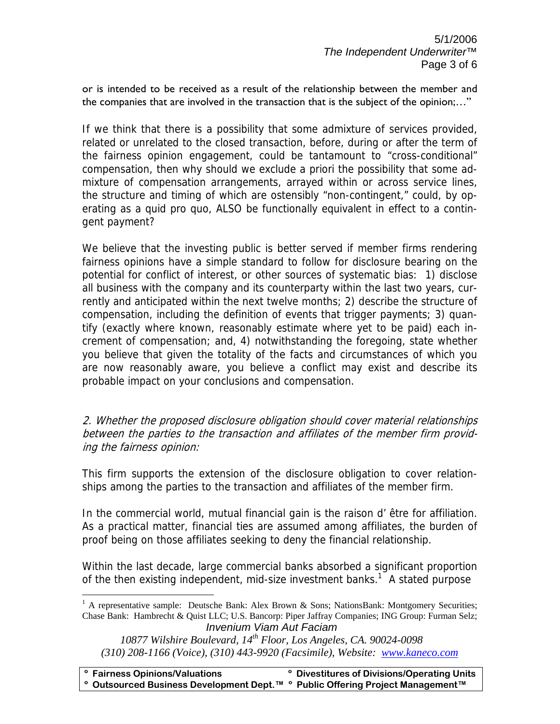or is intended to be received as a result of the relationship between the member and the companies that are involved in the transaction that is the subject of the opinion;…"

If we think that there is a possibility that some admixture of services provided, related or unrelated to the closed transaction, before, during or after the term of the fairness opinion engagement, could be tantamount to "cross-conditional" compensation, then why should we exclude a priori the possibility that some admixture of compensation arrangements, arrayed within or across service lines, the structure and timing of which are ostensibly "non-contingent," could, by operating as a quid pro quo, ALSO be functionally equivalent in effect to a contingent payment?

We believe that the investing public is better served if member firms rendering fairness opinions have a simple standard to follow for disclosure bearing on the potential for conflict of interest, or other sources of systematic bias: 1) disclose all business with the company and its counterparty within the last two years, currently and anticipated within the next twelve months; 2) describe the structure of compensation, including the definition of events that trigger payments; 3) quantify (exactly where known, reasonably estimate where yet to be paid) each increment of compensation; and, 4) notwithstanding the foregoing, state whether you believe that given the totality of the facts and circumstances of which you are now reasonably aware, you believe a conflict may exist and describe its probable impact on your conclusions and compensation.

2. Whether the proposed disclosure obligation should cover material relationships between the parties to the transaction and affiliates of the member firm providing the fairness opinion:

This firm supports the extension of the disclosure obligation to cover relationships among the parties to the transaction and affiliates of the member firm.

In the commercial world, mutual financial gain is the raison d' être for affiliation. As a practical matter, financial ties are assumed among affiliates, the burden of proof being on those affiliates seeking to deny the financial relationship.

Within the last decade, large commercial banks absorbed a significant proportion of the then existing independent, mid-size investment banks.<sup>1</sup> A stated purpose

 $\overline{a}$ 

*Invenium Viam Aut Faciam*  <sup>1</sup> A representative sample: Deutsche Bank: Alex Brown & Sons; NationsBank: Montgomery Securities; Chase Bank: Hambrecht & Quist LLC; U.S. Bancorp: Piper Jaffray Companies; ING Group: Furman Selz;

*<sup>10877</sup> Wilshire Boulevard, 14th Floor, Los Angeles, CA. 90024-0098 (310) 208-1166 (Voice), (310) 443-9920 (Facsimile), Website: www.kaneco.com*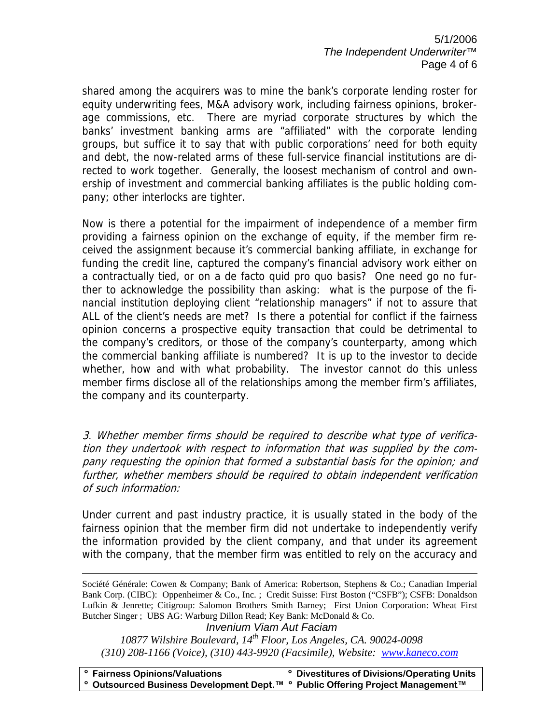5/1/2006 *The Independent Underwriter™*  Page 4 of 6

shared among the acquirers was to mine the bank's corporate lending roster for equity underwriting fees, M&A advisory work, including fairness opinions, brokerage commissions, etc. There are myriad corporate structures by which the banks' investment banking arms are "affiliated" with the corporate lending groups, but suffice it to say that with public corporations' need for both equity and debt, the now-related arms of these full-service financial institutions are directed to work together. Generally, the loosest mechanism of control and ownership of investment and commercial banking affiliates is the public holding company; other interlocks are tighter.

Now is there a potential for the impairment of independence of a member firm providing a fairness opinion on the exchange of equity, if the member firm received the assignment because it's commercial banking affiliate, in exchange for funding the credit line, captured the company's financial advisory work either on a contractually tied, or on a de facto quid pro quo basis? One need go no further to acknowledge the possibility than asking: what is the purpose of the financial institution deploying client "relationship managers" if not to assure that ALL of the client's needs are met? Is there a potential for conflict if the fairness opinion concerns a prospective equity transaction that could be detrimental to the company's creditors, or those of the company's counterparty, among which the commercial banking affiliate is numbered? It is up to the investor to decide whether, how and with what probability. The investor cannot do this unless member firms disclose all of the relationships among the member firm's affiliates, the company and its counterparty.

3. Whether member firms should be required to describe what type of verification they undertook with respect to information that was supplied by the company requesting the opinion that formed a substantial basis for the opinion; and further, whether members should be required to obtain independent verification of such information:

Under current and past industry practice, it is usually stated in the body of the fairness opinion that the member firm did not undertake to independently verify the information provided by the client company, and that under its agreement with the company, that the member firm was entitled to rely on the accuracy and

 Société Générale: Cowen & Company; Bank of America: Robertson, Stephens & Co.; Canadian Imperial Bank Corp. (CIBC): Oppenheimer & Co., Inc. ; Credit Suisse: First Boston ("CSFB"); CSFB: Donaldson Lufkin & Jenrette; Citigroup: Salomon Brothers Smith Barney; First Union Corporation: Wheat First Butcher Singer ; UBS AG: Warburg Dillon Read; Key Bank: McDonald & Co.

*Invenium Viam Aut Faciam 10877 Wilshire Boulevard, 14th Floor, Los Angeles, CA. 90024-0098 (310) 208-1166 (Voice), (310) 443-9920 (Facsimile), Website: www.kaneco.com*

**º Fairness Opinions/Valuations º Divestitures of Divisions/Operating Units º Outsourced Business Development Dept.™ º Public Offering Project Management™**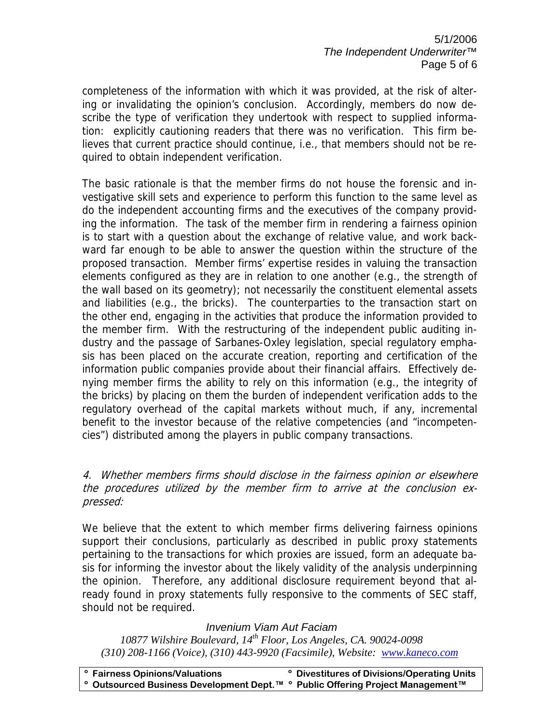5/1/2006 *The Independent Underwriter™*  Page 5 of 6

completeness of the information with which it was provided, at the risk of altering or invalidating the opinion's conclusion. Accordingly, members do now describe the type of verification they undertook with respect to supplied information: explicitly cautioning readers that there was no verification. This firm believes that current practice should continue, i.e., that members should not be required to obtain independent verification.

The basic rationale is that the member firms do not house the forensic and investigative skill sets and experience to perform this function to the same level as do the independent accounting firms and the executives of the company providing the information. The task of the member firm in rendering a fairness opinion is to start with a question about the exchange of relative value, and work backward far enough to be able to answer the question within the structure of the proposed transaction. Member firms' expertise resides in valuing the transaction elements configured as they are in relation to one another (e.g., the strength of the wall based on its geometry); not necessarily the constituent elemental assets and liabilities (e.g., the bricks). The counterparties to the transaction start on the other end, engaging in the activities that produce the information provided to the member firm. With the restructuring of the independent public auditing industry and the passage of Sarbanes-Oxley legislation, special regulatory emphasis has been placed on the accurate creation, reporting and certification of the information public companies provide about their financial affairs. Effectively denying member firms the ability to rely on this information (e.g., the integrity of the bricks) by placing on them the burden of independent verification adds to the regulatory overhead of the capital markets without much, if any, incremental benefit to the investor because of the relative competencies (and "incompetencies") distributed among the players in public company transactions.

#### 4. Whether members firms should disclose in the fairness opinion or elsewhere the procedures utilized by the member firm to arrive at the conclusion expressed:

We believe that the extent to which member firms delivering fairness opinions support their conclusions, particularly as described in public proxy statements pertaining to the transactions for which proxies are issued, form an adequate basis for informing the investor about the likely validity of the analysis underpinning the opinion. Therefore, any additional disclosure requirement beyond that already found in proxy statements fully responsive to the comments of SEC staff, should not be required.

#### *Invenium Viam Aut Faciam*